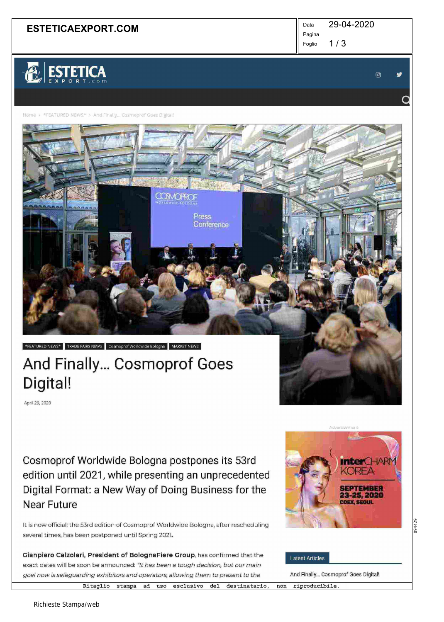## **ESTETICAEXPORT.COM**  $\parallel$ <sup>Data</sup>

29-04-2020

 $1/3$ Foglio

Pagina



 $@$   $\vee$ 

 $\overline{Q}$ 

Home > \*FEATURED NEWS\* > And Finally... Cosmoprof Goes Digital!

# \*FEATURED NEWS\* TRADE FAIRS NEWS Cosmoprof Worldwide Bologna MARKET NEWS. And Finally... Cosmoprof Goes

April 29, 2020

Digital!

Cosmoprof Worldwide Bologna postpones its 53rd edition until 2021, while presentíng an unprecedented Digital Format: a New Way of Doing Business for the Near Future

CONORCF

Press Conference

It is now official: the 53rd edition of Cosmoprof Worldwide Bologna, after rescheduling several times, has been postponed until Spring 2021.

Gianpiero Calzolari, President of BolognaFiere Group, has confirmed that the exact dates will be soon be announced: "It has been a tough decision, but our main goal now is safeguarding exhibitors and operators, allowing them to present to the

~  $T-M$ KOREA **4** SEPTEMBER 23-25, 2020 COEX, SEGUL

094429

#### **Latest Articles**

And Finally... Cosmoprof Goes Digital!

Ritaglio stampa ad uso esclusivo del destinatario, non riproducibile.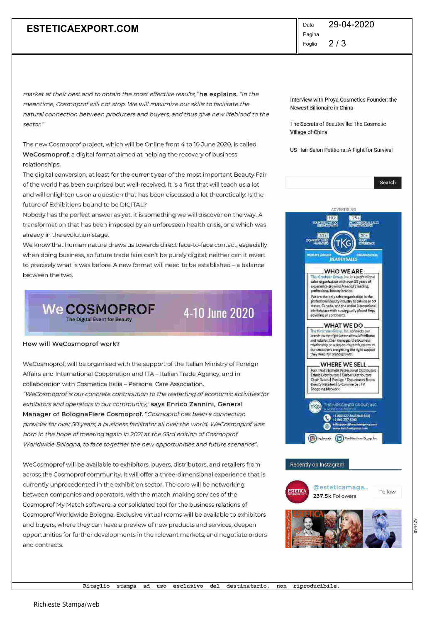## **ESTETICAEXPORT.COM**  $\parallel$ <sup>Data</sup>

 $2/3$ Pagina Foglio 29-04-2020

market at their best and to obtain the most effective results,"he explains. "In the meantime, Cosmoprof wi/I not stop. We will maximize our skills to facilitate the natural connection between producers and buyers, and thus give new lifeblood to the sector."

The new Cosmoprof project, which will be Online from 4 to 10 June 2020, is called WeCosmoprof, a digital format aimed at helping the recovery of business relationships.

The digital conversion, at least for the current year of the most important Beauty Fair of the world has been surprised but well-received. It is a first that will teach us a lot and will enlighten us on a question that has been discussed a lot theoretically: Is the future of Exhibitions bound to be DIGITAL?

Nobody has the perfect answer as yet. it is something we will discover on theway. A transformation that has been imposed byan unforeseen health crisis, one which was already ín the evolution stage.

We know that human nature draws us towards direct face-to-face contact, especially when doing business, so future trade fairs can't be purely digital; neither can it revert to precisely what is was before. A new format will need to be established - a balance between the two.



4-10 June 2020

#### How will WeCosmoprof work?

WeCosmoprof, will be organised with the support of the Italian Ministry of Foreign Affairs and International Cooperation and ITA- Italian Trade Agency, and in collaboration with Cosmetica Italia - Personal Care Association. "WeCosmoprof is our concrete contribution to the restarting of economic activities for exhibitors and operators in our community," says Enrico Zannini, General Manager of Bologna Fiere Cosmoprof. "Cosmoprof has been a connection provider for over 50 years, a business facilitator all over the world. WeCosmoprof was born in the hope of meeting again in 2021 at the 53rd edition of Cosmoprof Worldwide Bologna, to face together the new opportunities and future scenarios"

WeCosmoprof will be available to exhibitors, buyers, distributors, and retailers from across the Cosmoprof community. It will offer a three-dimensional experience that is currently unprecedented in the exhibition sector. The core will be networking between companies and operators, with the match-making services of the Cosmoprof My Match software, a consolidated tool for the business relations of Cosmoprof Worldwide Bologna. Exclusive virtual rooms will be available to exhibitors and buyers, where they can have a preview of new products and services, deepen opportunities for further developments in the relevant markets, and negotiate orders and contracts.

Interview with Proya Cosmetics Founder: the Newest Billionaire in China

The Secrets of Beauteville: The Cosmetic Village of China

US Hair Salon Petitions: A Fight for Survival

|                 | Search<br>ADVERTISING<br>102<br>$25 +$                                                                                                                                                                                                                                          |
|-----------------|---------------------------------------------------------------------------------------------------------------------------------------------------------------------------------------------------------------------------------------------------------------------------------|
|                 | <b>POUNTIES</b><br>EINATIONAL SALES<br>USSANTATAES<br>$33 +$<br>$30+$<br>DOMEST<br>法国<br><b>PLAINEY LARGEST</b><br><b>UNABERSIDE</b>                                                                                                                                            |
|                 | <b>BEAUTY SALES</b><br><b>WHO WE ARE.</b><br>The Kirculman Group, Inc. is a professional                                                                                                                                                                                        |
|                 | sales organization with over 30 years of<br>experience growing America's leading.<br>professional beauty brands.                                                                                                                                                                |
|                 | We are the only sales organization in the<br>professional beauty industry to service all 50<br>states, Canada, and the entire international<br>marketplace with strategically placed Reps<br>covering all continents.                                                           |
|                 | WHAT WE DO.<br>The Kimchher Group, Inc. connects our<br>brands to the right international distributor<br>and retailer, then manages the business<br>relationship on a day-to-day basis, to ensure<br>our customers are getting the right support<br>they need for trend growth. |
|                 | <b>WHERE WE SELL</b><br>Hair / Nail / Esthetic Professional Distributors<br>Ethnic Distributors   Barber Distributors<br>Chain-Salons   Prestige / Department Stores<br>Beauty Retailers   E-Commerce   TV<br>Shopping Network                                                  |
|                 | THE KIRECHINER GROUP, INC.<br>K.<br>i si all'ar<br>1.000 SZ7 So45 Bob-free)<br>16617376160                                                                                                                                                                                      |
|                 | disapport (thrushiers con zoni.<br>فكالمان                                                                                                                                                                                                                                      |
|                 | (b) the beauty (in) The Kirschner Group, Inc.                                                                                                                                                                                                                                   |
|                 | Recently on Instagram                                                                                                                                                                                                                                                           |
| <b>ESTETICA</b> | @esteticamaga<br>Follow<br>237.5k Followers                                                                                                                                                                                                                                     |